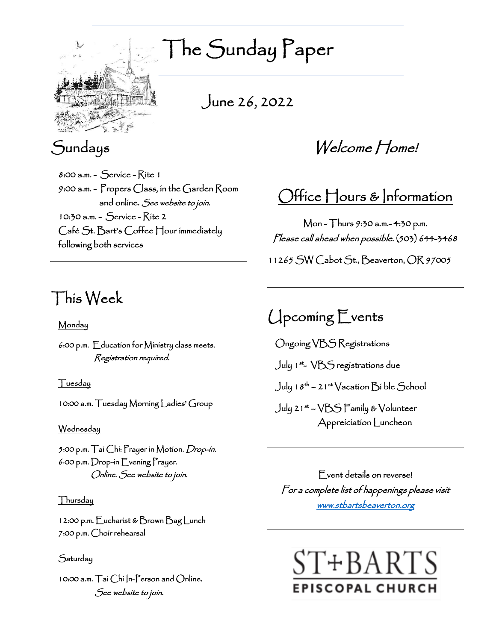

The Sunday Paper

June 26, 2022

# Sundays

8:00 a.m. - Service - Rite 1 9:00 a.m. - Propers Class, in the Garden Room and online. See website to join. 10:30 a.m. - Service - Rite 2 Café St. Bart's Coffee Hour immediately following both services

# This Week

### Monday

6:00 p.m. Education for Ministry class meets. Registration required.

### Tuesday

10:00 a.m. Tuesday Morning Ladies' Group

#### Wednesday

5:00 p.m. Tai Chi: Prayer in Motion. *Drop-in*. 6:00 p.m. Drop-in Evening Prayer. Online. See website to join.

### Thursday

12:00 p.m. Eucharist & Brown Bag Lunch 7:00 p.m. Choir rehearsal

### Saturday

10:00 a.m. Tai Chi In-Person and Online. See website to join.

Welcome Home!

# Office Hours & Information

Mon - Thurs 9:30 a.m.- 4:30 p.m. Please call ahead when possible. (503) 644-3468 11265 SW Cabot St., Beaverton, OR 97005

# Upcoming Events

Ongoing VBS Registrations

July 1st - VBS registrations due

July 18th – 21st Vacation Bi ble School

July 21st – VBS Family & Volunteer Appreiciation Luncheon

Event details on reverse! For a complete list of happenings please visit [www.stbartsbeaverton.org](http://www.stbartsbeaverton.org/)